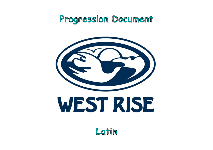# Progression Document



Latin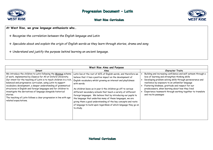

# **West Rise Curriculum**

# **At West Rise, we grow** *language enthusiasts* **who…**

*Recognise the correlation between the English language and Latin* 

*Speculate about and explain the origin of English words as they learn through stories, drama and song* 

*Understand and justify the purpose behind learning an ancient language.*

|                                                                                                                                                                                                                                                                                                                                                                                                                                                                                                                                                                                          | West Rise Aims and Purpose                                                                                                                                                                                                                                                                                                                                                                                                                                                                                                                                                                                                              |                                                                                                                                                                   |
|------------------------------------------------------------------------------------------------------------------------------------------------------------------------------------------------------------------------------------------------------------------------------------------------------------------------------------------------------------------------------------------------------------------------------------------------------------------------------------------------------------------------------------------------------------------------------------------|-----------------------------------------------------------------------------------------------------------------------------------------------------------------------------------------------------------------------------------------------------------------------------------------------------------------------------------------------------------------------------------------------------------------------------------------------------------------------------------------------------------------------------------------------------------------------------------------------------------------------------------------|-------------------------------------------------------------------------------------------------------------------------------------------------------------------|
| <b>Intent</b>                                                                                                                                                                                                                                                                                                                                                                                                                                                                                                                                                                            | Aims                                                                                                                                                                                                                                                                                                                                                                                                                                                                                                                                                                                                                                    |                                                                                                                                                                   |
| We introduce the children to Latin following the Minimus scheme<br>of work, implemented by Classics for All at Oxford University.<br>Our intent for the teaching of Latin is to teach children in a rich,<br>balanced and progressive curriculum, using Latin to support<br>vocabulary development, a deeper understanding of grammatical<br>structures in English and foreign languages and for children to<br>investigate the derivatives of language alongside historical<br>stories.<br>The teaching of Latin follows a clear progression in line with age-<br>related expectations. | Latin lies at the root of 60% of English words, and therefore we<br>believe that it has a positive impact on the development of<br>English vocabulary whilst growing an interest and playfulness<br>with words.<br>As children leave us in year 6 the children go off to various<br>different secondary schools that teach a variety of different<br>foreign languages. We believe that by introducing our pupils to<br>the language that underlies many of these languages, we are<br>giving them a good understanding of the key concepts and roots<br>of language to build upon regardless of which language they go on<br>to study. | Building and incre<br>love of learning a<br>Developing proble<br>resilience by exp<br>Fostering kindne<br>predecessors, wh<br>Experience team<br>and recite passa |



## **Character Traits**

easing confidence and self-esteem through a and strengthen thinking skills lem solving skills through perseverance and posure to an unfamiliar language ess, gratitude and respect for our hen learning about how they lived work through working together to translate ges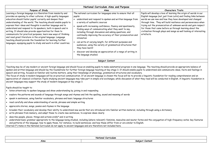| National Curriculum Aims and Purpose                                                                                                                                                                                                                                                                                                                                                                                                                                                                                                                                                                                                                                                                                                    |                                                                                                                                                                                                                                                                                                                                                                                                                                                                                                                                                                                                                                                                                 |                                                                                                                                                                               |
|-----------------------------------------------------------------------------------------------------------------------------------------------------------------------------------------------------------------------------------------------------------------------------------------------------------------------------------------------------------------------------------------------------------------------------------------------------------------------------------------------------------------------------------------------------------------------------------------------------------------------------------------------------------------------------------------------------------------------------------------|---------------------------------------------------------------------------------------------------------------------------------------------------------------------------------------------------------------------------------------------------------------------------------------------------------------------------------------------------------------------------------------------------------------------------------------------------------------------------------------------------------------------------------------------------------------------------------------------------------------------------------------------------------------------------------|-------------------------------------------------------------------------------------------------------------------------------------------------------------------------------|
| Purpose of Study                                                                                                                                                                                                                                                                                                                                                                                                                                                                                                                                                                                                                                                                                                                        | Aims                                                                                                                                                                                                                                                                                                                                                                                                                                                                                                                                                                                                                                                                            |                                                                                                                                                                               |
| Learning a foreign language is a liberation from insularity and<br>provides an opening to other cultures. A high-quality languages<br>education should foster pupils' curiosity and deepen their<br>understanding of the world. The teaching should enable pupils to<br>express their ideas and thoughts in another language and to<br>understand and respond to its speakers, both in speech and in<br>writing. It should also provide opportunities for them to<br>communicate for practical purposes, learn new ways of thinking<br>and read great literature in the original language. Language<br>teaching should provide the foundation for learning further<br>languages, equipping pupils to study and work in other countries. | The national curriculum for languages aims to ensure that all<br>pupils:<br>understand and respond to spoken and written language from<br>a variety of authentic sources<br>speak with increasing confidence, fluency and spontaneity,<br>finding ways of communicating what they want to say,<br>including through discussion and asking questions, and<br>continually improving the accuracy of their pronunciation and<br>intonation<br>can write at varying length, for different purposes and<br>audiences, using the variety of grammatical structures that<br>they have learnt<br>discover and develop an appreciation of a range of writing in<br>the language studied. | Pupils will develop a<br>English language (no<br>words we use now a<br>through time. They<br>trying out the pron<br>for those that came<br>civilisation through<br>artefacts. |
|                                                                                                                                                                                                                                                                                                                                                                                                                                                                                                                                                                                                                                                                                                                                         | Subject Content                                                                                                                                                                                                                                                                                                                                                                                                                                                                                                                                                                                                                                                                 |                                                                                                                                                                               |

- listen attentively to spoken language and show understanding by joining in and responding
- explore the patterns and sounds of language through songs and rhymes and link the spelling, sound and meaning of words
- speak in sentences, using familiar vocabulary, phrases and basic language structures
- read carefully and show understanding of words, phrases and simple writing
- appreciate stories, songs, poems and rhymes in the language
- broaden their vocabulary and develop their ability to understand new words that are introduced into familiar written material, including through using a dictionary
- write phrases from memory, and adapt these to create new sentences, to express ideas clearly
- describe people, places, things and actions orally\* and in writing
- understand basic grammar appropriate to the language being studied, including (where relevant): feminine, masculine and neuter forms and the conjugation of high-frequency verbs; key features and patterns of the language; how to apply these, for instance, to build sentences; and how these differ from or are similar to English.

Teaching may be of any modern or ancient foreign language and should focus on enabling pupils to make substantial progress in one language. The teaching should provide an appropriate balance of spoken and written language and should lay the foundations for further foreign language teaching at key stage 3. It should enable pupils to understand and communicate ideas, facts and feelings in speech and writing, focused on familiar and routine matters, using their knowledge of phonology, grammatical structures and vocabulary.

The focus of study in modern languages will be on practical communication. If an ancient language is chosen the focus will be to provide a linguistic foundation for reading comprehension and an appreciation of classical civilisation. Pupils studying ancient languages may take part in simple oral exchanges, while discussion of what they read will be conducted in English. A linguistic foundation in ancient languages may support the study of modern languages at key stage 3.

Pupils should be taught to:

Starred (\*) items in the National Curriculum do not apply to ancient languages and are therefore not included here.

| National<br><b>Curriculum</b> |                       |  |
|-------------------------------|-----------------------|--|
| Aims                          | . Content<br>Sub iect |  |

#### **Characters Traits**

I love of learning the origin of words in our ot just from Latin) and finding links between and how they have developed and changed y will build resilience and perseverance when unciation of unknown words and gain respect e before us through learning about the plays and songs as well looking at interesting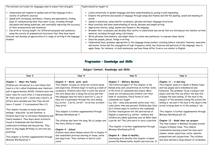| The national curriculum for languages aims to ensure that all pupils                                                                                                                                                                                                                                                                                                                                                                                                                                                                                                                                                                             | Pupils should be taught to:                                                                                                                                                                                                                                                                                                                                                                                                                                                                                                                                                                                                                                                                                                                                                                                                                                                                                      |
|--------------------------------------------------------------------------------------------------------------------------------------------------------------------------------------------------------------------------------------------------------------------------------------------------------------------------------------------------------------------------------------------------------------------------------------------------------------------------------------------------------------------------------------------------------------------------------------------------------------------------------------------------|------------------------------------------------------------------------------------------------------------------------------------------------------------------------------------------------------------------------------------------------------------------------------------------------------------------------------------------------------------------------------------------------------------------------------------------------------------------------------------------------------------------------------------------------------------------------------------------------------------------------------------------------------------------------------------------------------------------------------------------------------------------------------------------------------------------------------------------------------------------------------------------------------------------|
| $\triangleright$ Understand and respond to spoken and written language from a<br>variety of authentic sources<br>$\triangleright$ Speak with increasing confidence, fluency and spontaneity, finding<br>ways of communicating what they want to say, including through<br>discussion and asking questions, and continually improving the accuracy<br>of their pronunciation and intonation<br>$\triangleright$ Can write at varying length, for different purposes and audiences,<br>using the variety of grammatical structures that they have learnt<br>Discover and develop an appreciation of a range of writing in the language<br>studied. | Listen attentively to spoken language and show understanding by joining in ar<br>• Explore the patterns and sounds of language through songs and rhymes and I<br>words<br>Speak in sentences, using familiar vocabulary, phrases and basic language str<br>• Read carefully and show understanding of words, phrases and simple writing<br>Appreciate stories, songs, poems and rhymes in the language<br>Broaden their vocabulary and develop their ability to understand new words<br>material, including through using a dictionary<br>Write phrases from memory, and adapt these to create new sentences, to ex-<br>Describe people, places, things in writing<br>Understand basic grammar appropriate to the language being studied, includi<br>and neuter forms and the conjugation of high-frequency verbs; key features<br>apply these, for instance, to build sentences; and how these differ from or a |

# Progression - Knowledge and Skills

This chapter looks at a death in Roman times and how people were remembered and  $\mathsf{p}$  onoured. The grammar focus is subject and bject and how this can affect the way this ranges the noun ending. If the noun is the ubject of the sentence (doing the action) the ending is –am and if the noun is the object (the ction is being done to it) the ending is -um.

his chapter is further supplemented through Minimus Workbook p21-22.

The final chapter in Minimus focusses around eligion in Roman times. This chapter consolidates learning around the main word lasses –nouns, adjectives, verbs, adverbs, prepositions and conjunctions. The children ow have learned a large amount of vocabulary

| Subject Content, Knowledge and Skills                                                                                                                                                                                                                                                                                                                                                                                                                                                                                                                                                                                                                                                                                                                                                                     |                                                                                                                                                                                                                                                                                                                                                                                                                                                                                                                                                                                                                                                                                                                                                                                     |                                                                                                                                                                                                                                                                                                                                                                                                                                                                                                                                                                                                                                                                                                                                                                                                                            |                                                                                                                                                                                                                                                                                                                                                                                                                                                                                                                                                                |
|-----------------------------------------------------------------------------------------------------------------------------------------------------------------------------------------------------------------------------------------------------------------------------------------------------------------------------------------------------------------------------------------------------------------------------------------------------------------------------------------------------------------------------------------------------------------------------------------------------------------------------------------------------------------------------------------------------------------------------------------------------------------------------------------------------------|-------------------------------------------------------------------------------------------------------------------------------------------------------------------------------------------------------------------------------------------------------------------------------------------------------------------------------------------------------------------------------------------------------------------------------------------------------------------------------------------------------------------------------------------------------------------------------------------------------------------------------------------------------------------------------------------------------------------------------------------------------------------------------------|----------------------------------------------------------------------------------------------------------------------------------------------------------------------------------------------------------------------------------------------------------------------------------------------------------------------------------------------------------------------------------------------------------------------------------------------------------------------------------------------------------------------------------------------------------------------------------------------------------------------------------------------------------------------------------------------------------------------------------------------------------------------------------------------------------------------------|----------------------------------------------------------------------------------------------------------------------------------------------------------------------------------------------------------------------------------------------------------------------------------------------------------------------------------------------------------------------------------------------------------------------------------------------------------------------------------------------------------------------------------------------------------------|
| Year 3                                                                                                                                                                                                                                                                                                                                                                                                                                                                                                                                                                                                                                                                                                                                                                                                    | Year 4                                                                                                                                                                                                                                                                                                                                                                                                                                                                                                                                                                                                                                                                                                                                                                              | Year 5                                                                                                                                                                                                                                                                                                                                                                                                                                                                                                                                                                                                                                                                                                                                                                                                                     | Year 6                                                                                                                                                                                                                                                                                                                                                                                                                                                                                                                                                         |
| Chapter 1 - Meet the Family<br>Children are introduced to a real family that<br>lived in a fort called Vindolanda near Hadrian's<br>wall in approximately AD100. Children learn the<br>basic rules for Latin (that a V was pronounced<br>W, there was no soft c sound only a hard k, all<br>letters were sounded and that they did not<br>have a J sound - J is pronounced like a Y).<br>This chapter focuses on nouns and noun<br>endings - masculine -us and feminine -a.<br>Children learn how to introduce themselves and<br>family members. They learn about artefacts<br>found in Vindolanda and that Roman's<br>celebrated birthdays and had parties. They<br>learn to sing Happy Birthday in Latin and use<br>greetings.<br>This chapter is further supplemented through<br>Minimus Workbook p2-3 | Chapter 3 - Work, work, work<br>This chapter focuses on verbs but revisits nouns<br>and adjectives. Children begin to build up a bank of<br>vocabulary. Children learn that in Latin the end of<br>the verb shows who is doing the action and that<br>the language does not have a word for I, you or<br>they but is expressed through the verb ending.<br>E.g. scribo - I write, scribit - he writes, scribunt -<br>they write.<br>This chapter is further supplemented through<br>Minimus Workbook p6-7.<br>The children also learn the song, Ba La Laniger and<br>the story, Rufus et vespa.<br>Chapter 4 - School<br>Children learn about Roman school life in chapter 4<br>and consolidate previous learning of nouns, verbs<br>and adjectives. They continue to look at Latin | Chapter 7 - Military Machine<br>The historical aspect of this chapter is the<br>Roman army and concentrates on further verbs<br>in the form of commands and orders. More<br>nouns are introduced and children visit their<br>bank of vocabulary. Plural forms of verb<br>commands are taught<br>e.g. veni = come (one person) venite (veni +te) =<br>come (more than one person). Children play Simo<br>dicit (Simon says) to reinforce the commands.<br>Further investigation into the derivatives of<br>English is explored e.g. milites - soldiers and<br>children are asked questions such as What does<br>a porter do? The Latin word to carry is portate.<br>This chapter is further supplemented through<br>Minimus Workbook p14-15<br>Chapter 8 - Clean & Healthy<br>Continuing with adverbs this chapter is based | Chapter 11 - A Sad Day<br>This chapter looks at a dea<br>and how people were remen<br>honoured. The grammar for<br>object and how this can aff<br>changes the noun ending. It<br>subject of the sentence (do<br>ending is -am and if the not<br>action is being done to it) t<br>This chapter is further sup<br>Minimus Workbook p21-22.<br>Chapter 12 - Gods! Hear<br>The final chapter in Minimu<br>religion in Roman times. Thi<br>consolidates learning aroun<br>classes -nouns, adjectives,<br>prepositions and conjunctio<br>now have learned a large an |

in and responding nd link the spelling, sound and meaning of

structures

ds that are introduced into familiar written

o express ideas clearly

luding (where relevant): feminine, masculine and patterns of the language; how to integrate of the language; how to or are similar to English.



#### **Chapter 11 – A Sad Day**

#### **Chapter 12 – Gods! Hear our prayers**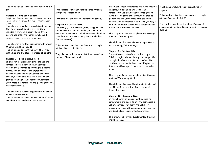| The children also learn the song Felix dies tibi<br>sit<br>Chapter 5 - Romans & Britons<br>(taught out of sequence as this links directly with the<br>Roman History topic taught at this point in this year<br>group)<br>This chapter introduces adverbs and the fact<br>that Latin adverbs end in er. The story<br>includes history links about life in Briton<br>before and after the Roman invasion and<br>revises nouns, verbs and adjectives.<br>This chapter is further supplemented through<br>Minimus Workbook p10-11<br>The children also learn the play, The Three<br>Little Pigs and the story, Vibrassa et ballista<br>Chapter 2 - Food Glorious Food<br>In chapter 2 children revisit nouns and are<br>introduced to adjectives. The family are<br>hosting the Governor of Britain for a special<br>dinner. The children learn adjectives to<br>describe animals and one another and learn<br>that adjectives also have the masculine and<br>feminine endings. They begin to investigate<br>Latin roots e.g. porcus is a pig (pork). Equus is a<br>horse (equestrian).<br>This chapter is further supplemented through<br>Minimus Workbook p4-5<br>The children also learn the play, The Leftovers<br>and the story, Candidus et dis horribilis. | This chapter is further supplemented through<br>Minimus Workbook p8-9<br>They also learn the story, Corinthus et fabula.<br>Chapter 6 - Off to Town<br>The family go to Eboracum (York) shopping. The<br>children are introduced to a larger number of<br>nouns and learn how to talk about where they live.<br>They look at Latin roots: $-$ e.g. habitat (he lives).<br>fractus (broken).<br>This chapter is further supplemented through<br>Minimus Workbook p12-13.<br>They also learn the song, Ardet Roma as well as<br>the play, Shopping in York. | introduces longer statements and more complex<br>language. Children begin to write whole<br>sentences in Latin and translate into English.<br>More historic facts are introduced linked to<br>modern life and Latin roots continue to be<br>investigated: frigidarium - cold room (fridge). A<br>visit to the doctor consolidates commands and<br>introduces further vocabulary.<br>This chapter is further supplemented through<br>Minimus Workbook p16-17.<br>The children also learn the song, Caput Umeri<br>and the story, Iulius et pugna.<br>Chapter 9 - Soldiers Life<br>Prepositions are introduced in this chapter.<br>Children begin to learn about place and position<br>through the day in the life of a soldier. They<br>continue to see the derivatives of English and<br>links to prefixes e.g. circum - round and sub -<br>under.<br>This chapter is further supplemented through<br>Minimus Workbook p18-19.<br>The children also learn the play, Goldilocks and<br>the Three Bears and the story, Flavius et<br>Imperator novus.<br>Chapter 10 - Romantic Ring<br>In this chapter children are introduced to<br>conjunctions and begin to link two sentences in<br>Latin together. They learn the Latin for<br>because, but, and, although and begin to write<br>and speak aloud longer linked sentences.<br>This chapter is further supplemented through<br>Workbook p20. |
|---------------------------------------------------------------------------------------------------------------------------------------------------------------------------------------------------------------------------------------------------------------------------------------------------------------------------------------------------------------------------------------------------------------------------------------------------------------------------------------------------------------------------------------------------------------------------------------------------------------------------------------------------------------------------------------------------------------------------------------------------------------------------------------------------------------------------------------------------------------------------------------------------------------------------------------------------------------------------------------------------------------------------------------------------------------------------------------------------------------------------------------------------------------------------------------------------------------------------------------------------------------|-----------------------------------------------------------------------------------------------------------------------------------------------------------------------------------------------------------------------------------------------------------------------------------------------------------------------------------------------------------------------------------------------------------------------------------------------------------------------------------------------------------------------------------------------------------|-----------------------------------------------------------------------------------------------------------------------------------------------------------------------------------------------------------------------------------------------------------------------------------------------------------------------------------------------------------------------------------------------------------------------------------------------------------------------------------------------------------------------------------------------------------------------------------------------------------------------------------------------------------------------------------------------------------------------------------------------------------------------------------------------------------------------------------------------------------------------------------------------------------------------------------------------------------------------------------------------------------------------------------------------------------------------------------------------------------------------------------------------------------------------------------------------------------------------------------------------------------------------------------------------------------------------------------------------------------------------------------------------|

in Latin and English through derivatives of language.

This chapter is further supplemented through Minimus Workbook p23-24.

The children also learn the story, Pandora et somnium and the song, Decem urnae: Ten Green Bottles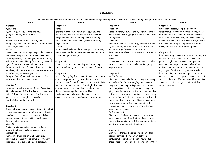## **Vocabulary**

The vocabulary learned in each chapter is built upon and used again and again to consolidate understanding throughout each of the chapters

Epistulam – letter, accipit – receives, istissimus – very say, mortua – dead, curat – ie looks after, equum – horse, plaustrum – rt, parat – he prepares, coronam – wreath, cernam – lamp, titulam – inscription, sculpit –  $h$  carves, ollam – pot, deponent – they put own, sepulcrum - tomb, point - places

| Year 3                                               | Year 4                                                 | $\ldots$ $\sigma$ $\sigma$ $\sigma$ $\sigma$<br>Year 5 | Year 6                          |
|------------------------------------------------------|--------------------------------------------------------|--------------------------------------------------------|---------------------------------|
| Chapter 1                                            | Chapter 3                                              | Chapter 7                                              | Chapter 11                      |
| <b>Questions</b>                                     | Verbs                                                  | Weapons                                                | Epistulam - letter, accipit -   |
| Quis es?/qui estis? - Who are you?                   | Endings $t/o/nt$ - he or she is/ I am/they are         | Galea - helmet, pilum - javelin, scutum - shield,      | tristissimus - very say, mor    |
| (singular/plural), quid? - what?                     | Faci - doing, scrib - writing, specta - watching,      | lorica - breastplate, pugio - dagger, periculosus      | she looks after, equum - ho     |
| <b>Family</b>                                        | purg - cleaning, leg - reading, verr -sweeping,        | - dangerous,                                           | cart, parat - he prepares, c    |
| Mater - mother, pater - father, filia -              | labora - working, ride - smile, intra - entering,      | Commands                                               | lucernam - lamp, titulam - ii   |
| daughter, filius - son, infans - little child, servi | coqui - cooking                                        | cave - be careful, siste - stop, relinque - leave      | he carves, ollam - pot, depo    |
| - servant, soror – sister                            | Other                                                  | it, ecce - look, audite - listen, sumite - pick up,    | down, sepulcrum - tomb, po      |
| <u>Other</u>                                         | Subito - suddenly, ancilla - slave girl, nova - new,   | procedite - go forward, portate - carry,               |                                 |
| Salve/salvete - hello(singular/plural), omnes -      | nonc - now, quod - because, minime - no, validus -     | demittite - put down, testudinem facite - make         | Chapter 12                      |
| everyone, exspectatissimus - very welcome,           | strond, semper - always                                | a tortoise                                             | Nihil - nothing, consumit - I   |
| dnum - present, tibi - for you, habeo - I have,      |                                                        | Verbs                                                  | arcessit - she summons, sol     |
| falix dies tibi sit - Happy Birthday, gratias tibi   | Chapter 4                                              | Consumter - eat, cantata - sing, dormite - sleep,      | pavidi - frightened, tristes    |
| ago - I thank you, quam pulcher - how                | Docet - teachers, laetus - happy, iratus - angry,      | saltate - dance, natate - swim, salite - jump,         | nostras - our prayers, vinur    |
| beautiful, sed - but, famosa - famous, sedate -      | cur? - why?, fatigata - bored, dormio - I sleep        | pingite - paint                                        | matres - mother goddesses       |
| sit down, lolim - once upon a time, sum/sumus -      |                                                        |                                                        | my prayer, fabulam - story,     |
| I am/we are, es/estis - you are                      | Chapter 6                                              | Chapter 8                                              | lambit - licks, capillos - hair |
| (singular/plural), carissima - dearest, diem         | Vado - I am going, Eboracum - to York, ibi - there,    | At the baths                                           | caseum - cheese, dat - gvie     |
| natalem - birthday, anima - soul                     | arma - weapons, ludi - games, pilulae - beads,         | Hilariter - cheerfully, ludunt - they are playing,     | facit - makes, sacrificium -    |
|                                                      | variae - colourful, stili - pens, cerae - wax tablets, | in apodyterio - in the changing room, exuunt -         | - sweetly, cantat - sings, te   |
| Chapter 5                                            | habitat - he lives, amicus - friend, gladius - sword,  | they are undressing, in tepidario - in the warm        | surgit $-$ get up               |
| Celeriter - quickly, equito - I ride, ferociter -    | acutus - sword, fractus - broken, obesu - fat,         | room, segniter - lazily, recumbent - they are          |                                 |
| fiercely, pugno - I fight, diligenter - carefully,   | durus - tough, ampulla - perfume flaks,                | lying down, in caldario - in the hot room, ancillae    |                                 |
| colo - I farm, tesserae - mosaics, ita vero -        | capillamentum - wig, Animalia anea - bronze            | - slave girls, prudenter - skilfully, radunt - they    |                                 |
| yes, directae - straight, commodae -                 | animals, mortarium - cooking pot, ita vero - yes       | are scraping their skin, in frigidario - in the cold   |                                 |
| comfortable, nobiscum - with us                      |                                                        | room, breviter - for a short time, summergunt -        |                                 |
|                                                      |                                                        | they plunge underwater, cum amicus - with              |                                 |
| <b>Chapter 2</b>                                     |                                                        | friends, garriunt - they are chatting, laetae -        |                                 |
| Eheu - oh dear, euge - hooray, sede - sit, cibus     |                                                        | happy, purae - clean                                   |                                 |
| - food, noli lacrimate - don't cry, villa - house,   |                                                        | At the doctors                                         |                                 |
| sordida - dirty, hortus - garden, squalidus -        |                                                        | Discumbe - lie down, oculus aperi - open your          |                                 |
| messy, tunica - dress, fessi - tired, euge -         |                                                        | eyes, impone - put it on, tris per diem - three        |                                 |
| hooray, miles - soldier                              |                                                        | times a day, consume - eat, bis per diem - twice       |                                 |
| Animals                                              |                                                        | per day, gratias agimus - thank you                    |                                 |
| Vespa - wasp, cuniculus - rabbit, balaena -          |                                                        |                                                        |                                 |
| whale, Delphinus - dolphin, porcus - pig             |                                                        | Chapter 9                                              |                                 |
| <u>Adjectives</u>                                    |                                                        | Signifier - standard-bearer, vexillifer - flag-        |                                 |
| Parva/us - small, maxima/us - very big,              |                                                        | bearer, cornice - horn-player, centurio -              |                                 |
| improbus/a - naughty, benignus/a - friendly,         |                                                        | centurion, proper, near, circum, round, sub -          |                                 |
| magnus/a - big, bona/us - good, callida/us -         |                                                        | under, super - on top of, in - in, pro - in fornt of,  |                                 |

#### **Chapter 11**

#### **Chapter 12**

ihil – nothing, consumit – he eats, calidus, hot, arcessit – she summons, solliciti – worried, pavidi – frightened, tristes – sad, preces stras – our prayers, vinum – wine, deae atres – mother goddesses, precem meam – , y prayer, fabulam – story, narrat – tells, mbit – licks, capillos – hair, pectit – combs, iseum – cheese, dat – gvies, plaustrum – cart, icit – makes, sacrificium – sacrifice, suaviter – sweetly, cantat – sings, tenet – cuddles, rgit – get up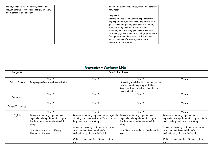| clever, formosa/us - beautiful, ignava/us -    | ad - to, e - away from, fessa, tired, laetissimus - |
|------------------------------------------------|-----------------------------------------------------|
| lazy, minima/us - very small, optima/us - very | very happy                                          |
| good, strenua/us - energetic                   |                                                     |
|                                                | Chapter 10                                          |
|                                                | Gratias tibi ago - I thank you, capillamentum -     |
|                                                | wig, capilli - hair, aures - ears, unguentum - lip  |
|                                                | gloss, gemmae - jewels, guamquam - although,        |
|                                                | diu - for along time, in cubiculo - in the          |
|                                                | bedroom, annulus - ring, pretiosus - valuable,      |
|                                                | cur? - why?, aureus - made of gold, a patre tuo -   |
|                                                | from your father, haec verba - these words,         |
|                                                | anima mea - my life or soul, amatorius -            |
|                                                | romantic, ubi? - where?                             |

# Progression - Curriculum Links

| Subjects          | Curriculum Links                       |                                               |                                           |                                                |
|-------------------|----------------------------------------|-----------------------------------------------|-------------------------------------------|------------------------------------------------|
|                   | Year 3                                 | Year 4                                        | Year 5                                    | Year 6                                         |
| Art and Design    | Designing and creating Roman shields   |                                               | Observing small details on Ancient Greek  |                                                |
|                   |                                        |                                               | artefacts and comparing with those        |                                                |
|                   |                                        |                                               | from the Roman artefacts in order to      |                                                |
|                   |                                        |                                               | create Greek pots.                        |                                                |
|                   | Year 3                                 | Year 4                                        | Year 5                                    | Year 6                                         |
| Computing         |                                        |                                               |                                           |                                                |
|                   | Year 3                                 | Year 4                                        | Year 5                                    | Year 6                                         |
| Design Technology |                                        |                                               |                                           |                                                |
|                   | Year 3                                 | Year 4                                        | Year 5                                    | Year 6                                         |
| English           | Drama - all years groups use drama     | Drama - all years groups use drama regularly  | Drama - all years groups use drama        | Drama - all years groups use drama             |
|                   | regularly to bring the comic strips to | to bring the comic strips to life in order to | regularly to bring the comic strips to    | regularly to bring the comic strips to life in |
|                   | life in order to help understand the   | help understand the story.                    | life in order to help understand the      | order to help understand the story.            |
|                   | story.                                 |                                               | story                                     |                                                |
|                   |                                        | Grammar - learning Latin nouns, verbs and     |                                           | Grammar - learning Latin nouns, verbs and      |
|                   | Year 3 also learn two Latin plays      | adjectives reinforces children's              | Year 5 also learn a Latin play during the | adjectives reinforces children's               |
|                   | throughout the year.                   | understanding of these in English.            | year.                                     | understanding of these in English.             |
|                   |                                        | Making connections to Latin and English       |                                           | Making connections to Latin and English        |
|                   |                                        | words.                                        |                                           | words.                                         |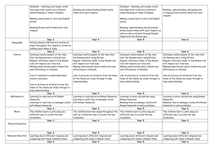|                           | Grammar - learning Latin nouns, verbs<br>and adjectives reinforces children's<br>understanding of these in English.<br>Making connections to Latin and English<br>words<br>Reading Greek myths linked with each                                                                                                                                                                                           | Reading and understanding Greek myths<br>linked with each chapter.                                                                                                                                                                                                                                                                           | Grammar - learning Latin nouns, verbs<br>and adjectives reinforces children's<br>understanding of these in English.<br>Making connections to Latin and English<br>words.<br>Reading, understanding and discussing                                                                                                                            | Reading, understanding, discussing and<br>critiquing Greek myths linked with each<br>chapter.                                                                                                                                                                                                                                                |
|---------------------------|-----------------------------------------------------------------------------------------------------------------------------------------------------------------------------------------------------------------------------------------------------------------------------------------------------------------------------------------------------------------------------------------------------------|----------------------------------------------------------------------------------------------------------------------------------------------------------------------------------------------------------------------------------------------------------------------------------------------------------------------------------------------|----------------------------------------------------------------------------------------------------------------------------------------------------------------------------------------------------------------------------------------------------------------------------------------------------------------------------------------------|----------------------------------------------------------------------------------------------------------------------------------------------------------------------------------------------------------------------------------------------------------------------------------------------------------------------------------------------|
|                           | chapter.                                                                                                                                                                                                                                                                                                                                                                                                  |                                                                                                                                                                                                                                                                                                                                              | Greek myths linked with each chapter as<br>well as others studied through English                                                                                                                                                                                                                                                            |                                                                                                                                                                                                                                                                                                                                              |
|                           |                                                                                                                                                                                                                                                                                                                                                                                                           |                                                                                                                                                                                                                                                                                                                                              | linked with the Greek topic                                                                                                                                                                                                                                                                                                                  |                                                                                                                                                                                                                                                                                                                                              |
|                           | Year 3                                                                                                                                                                                                                                                                                                                                                                                                    | Year 4                                                                                                                                                                                                                                                                                                                                       | Year 5                                                                                                                                                                                                                                                                                                                                       | Year 6                                                                                                                                                                                                                                                                                                                                       |
| Geography                 | Various places in Britain are located on<br>maps throughout the chapters, as well as<br>talking about Rome in Italy.                                                                                                                                                                                                                                                                                      |                                                                                                                                                                                                                                                                                                                                              |                                                                                                                                                                                                                                                                                                                                              |                                                                                                                                                                                                                                                                                                                                              |
|                           | Year 3                                                                                                                                                                                                                                                                                                                                                                                                    | Year 4                                                                                                                                                                                                                                                                                                                                       | Year 5                                                                                                                                                                                                                                                                                                                                       | Year 6                                                                                                                                                                                                                                                                                                                                       |
| History                   | Continual reinforcement of the time<br>that the Romans were ruling Britain.<br>Regular reference made to how Roman<br>rule still impacts our lives now.<br>Making observations about similarities<br>and differences in lifestyle.<br>Use of timelines to understand when<br>events took place.<br>Use of pictures of artefacts from the<br>home of the family we study through to<br>help understanding. | Continual reinforcement of the time that<br>the Romans were ruling Britain.<br>Regular reference made to how Roman rule<br>still impacts our lives now.<br>Making observations about similarities and<br>differences in lifestyle.<br>Use of pictures of artefacts from the home<br>of the family we study through to help<br>understanding. | Continual reinforcement of the time<br>that the Romans were ruling Britain.<br>Regular reference made to how Roman<br>rule still impacts our lives now.<br>Making observations about similarities<br>and differences in lifestyle.<br>Use of pictures of artefacts from the<br>home of the family we study through to<br>help understanding. | Continual reinforcement of the time that<br>the Romans were ruling Britain.<br>Regular reference made to how Roman rule<br>still impacts our lives now.<br>Making observations about similarities and<br>differences in lifestyle.<br>Use of pictures of artefacts from the<br>home of the family we study through to<br>help understanding. |
|                           | Year 3                                                                                                                                                                                                                                                                                                                                                                                                    | Year 4                                                                                                                                                                                                                                                                                                                                       | Year 5                                                                                                                                                                                                                                                                                                                                       | Year 6                                                                                                                                                                                                                                                                                                                                       |
| Mathematics               | Learning to read and write Roman<br>Numerals.<br>Learning to read time on analogue clocks<br>with Roman Numerals.                                                                                                                                                                                                                                                                                         | Learning to read and write Roman Numerals.<br>Learning to read time on analogue clocks<br>with Roman Numerals.                                                                                                                                                                                                                               | Learning to solve calculations using<br>Roman Numerals.<br>Reading time on analogue clocks with<br>Roman Numerals to solve problems.                                                                                                                                                                                                         | Learning to solve calculations using Roman<br>Numerals.<br>Reading time on analogue clocks with Roman<br>Numerals to solve problems.                                                                                                                                                                                                         |
|                           | Year 3                                                                                                                                                                                                                                                                                                                                                                                                    | Year 4                                                                                                                                                                                                                                                                                                                                       | Year 5                                                                                                                                                                                                                                                                                                                                       | Year 6                                                                                                                                                                                                                                                                                                                                       |
| Music                     | The children learn a Latin song as a<br>different way to access the new<br>vocabulary.                                                                                                                                                                                                                                                                                                                    | The children learn two songs throughout the<br>year as a different way to access the new<br>vocabulary                                                                                                                                                                                                                                       | The children learn a Latin song as a<br>different way to access the new<br>vocabulary.                                                                                                                                                                                                                                                       | The children learn a Latin song as a<br>different way to access the new<br>vocabulary.                                                                                                                                                                                                                                                       |
| <b>Physical Education</b> | Year 3                                                                                                                                                                                                                                                                                                                                                                                                    | Year 4                                                                                                                                                                                                                                                                                                                                       | Year 5                                                                                                                                                                                                                                                                                                                                       | Year 6                                                                                                                                                                                                                                                                                                                                       |
|                           | Year 3                                                                                                                                                                                                                                                                                                                                                                                                    | Year 4                                                                                                                                                                                                                                                                                                                                       | Year 5                                                                                                                                                                                                                                                                                                                                       | Year 6                                                                                                                                                                                                                                                                                                                                       |
| Religious Education       | Learning about different religions and<br>comparing with those in Roman times                                                                                                                                                                                                                                                                                                                             | Learning about different religions and<br>comparing with those in Roman times                                                                                                                                                                                                                                                                | Learning about different religions and<br>comparing with those in Roman times                                                                                                                                                                                                                                                                | Learning about different religions and<br>comparing with those in Roman times                                                                                                                                                                                                                                                                |
|                           | Year 3                                                                                                                                                                                                                                                                                                                                                                                                    | Year 4                                                                                                                                                                                                                                                                                                                                       | Year 5                                                                                                                                                                                                                                                                                                                                       | Year 6                                                                                                                                                                                                                                                                                                                                       |